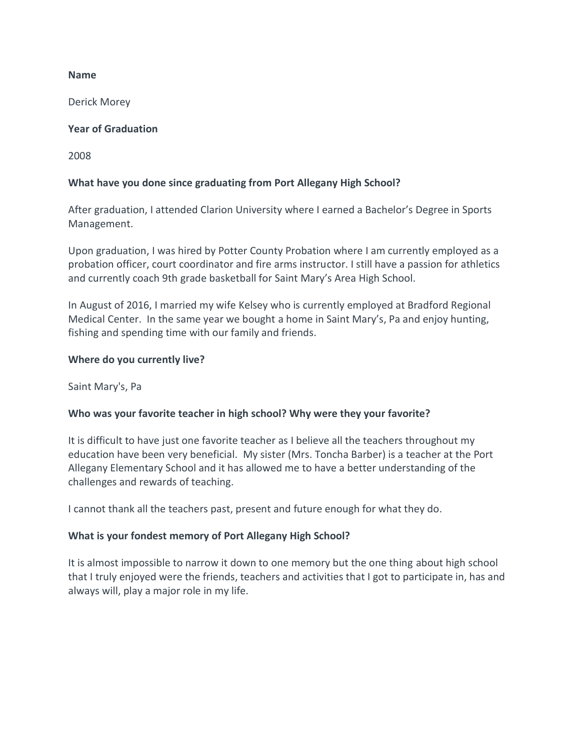### **Name**

Derick Morey

## **Year of Graduation**

2008

# **What have you done since graduating from Port Allegany High School?**

After graduation, I attended Clarion University where I earned a Bachelor's Degree in Sports Management.

Upon graduation, I was hired by Potter County Probation where I am currently employed as a probation officer, court coordinator and fire arms instructor. I still have a passion for athletics and currently coach 9th grade basketball for Saint Mary's Area High School.

In August of 2016, I married my wife Kelsey who is currently employed at Bradford Regional Medical Center. In the same year we bought a home in Saint Mary's, Pa and enjoy hunting, fishing and spending time with our family and friends.

### **Where do you currently live?**

Saint Mary's, Pa

### **Who was your favorite teacher in high school? Why were they your favorite?**

It is difficult to have just one favorite teacher as I believe all the teachers throughout my education have been very beneficial. My sister (Mrs. Toncha Barber) is a teacher at the Port Allegany Elementary School and it has allowed me to have a better understanding of the challenges and rewards of teaching.

I cannot thank all the teachers past, present and future enough for what they do.

### **What is your fondest memory of Port Allegany High School?**

It is almost impossible to narrow it down to one memory but the one thing about high school that I truly enjoyed were the friends, teachers and activities that I got to participate in, has and always will, play a major role in my life.